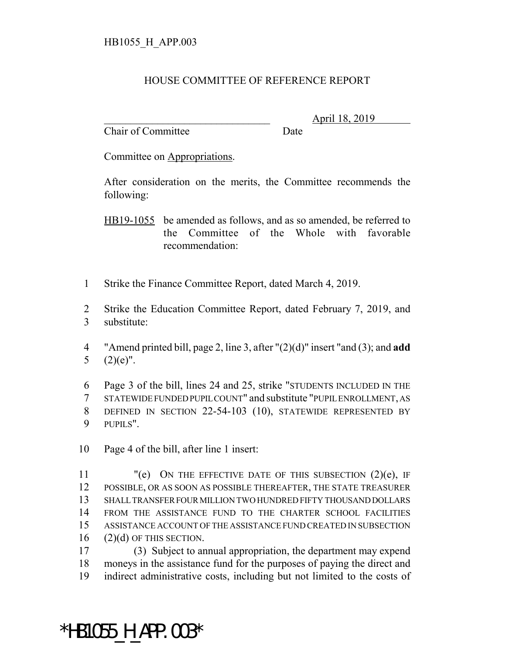## HOUSE COMMITTEE OF REFERENCE REPORT

Chair of Committee Date

\_\_\_\_\_\_\_\_\_\_\_\_\_\_\_\_\_\_\_\_\_\_\_\_\_\_\_\_\_\_\_ April 18, 2019

Committee on Appropriations.

After consideration on the merits, the Committee recommends the following:

HB19-1055 be amended as follows, and as so amended, be referred to the Committee of the Whole with favorable recommendation:

- 1 Strike the Finance Committee Report, dated March 4, 2019.
- 2 Strike the Education Committee Report, dated February 7, 2019, and 3 substitute:
- 4 "Amend printed bill, page 2, line 3, after "(2)(d)" insert "and (3); and **add** 5  $(2)(e)$ ".
- 6 Page 3 of the bill, lines 24 and 25, strike "STUDENTS INCLUDED IN THE 7 STATEWIDE FUNDED PUPIL COUNT" and substitute "PUPIL ENROLLMENT, AS 8 DEFINED IN SECTION 22-54-103 (10), STATEWIDE REPRESENTED BY 9 PUPILS".
- 10 Page 4 of the bill, after line 1 insert:

 $"$ (e) ON THE EFFECTIVE DATE OF THIS SUBSECTION (2)(e), IF POSSIBLE, OR AS SOON AS POSSIBLE THEREAFTER, THE STATE TREASURER SHALL TRANSFER FOUR MILLION TWO HUNDRED FIFTY THOUSAND DOLLARS FROM THE ASSISTANCE FUND TO THE CHARTER SCHOOL FACILITIES ASSISTANCE ACCOUNT OF THE ASSISTANCE FUND CREATED IN SUBSECTION (2)(d) OF THIS SECTION.

17 (3) Subject to annual appropriation, the department may expend 18 moneys in the assistance fund for the purposes of paying the direct and 19 indirect administrative costs, including but not limited to the costs of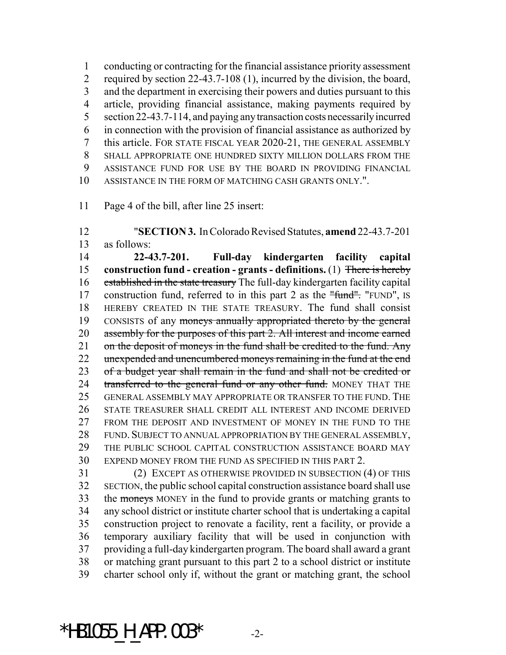conducting or contracting for the financial assistance priority assessment required by section 22-43.7-108 (1), incurred by the division, the board, and the department in exercising their powers and duties pursuant to this article, providing financial assistance, making payments required by section 22-43.7-114, and paying any transaction costs necessarily incurred in connection with the provision of financial assistance as authorized by this article. FOR STATE FISCAL YEAR 2020-21, THE GENERAL ASSEMBLY SHALL APPROPRIATE ONE HUNDRED SIXTY MILLION DOLLARS FROM THE ASSISTANCE FUND FOR USE BY THE BOARD IN PROVIDING FINANCIAL ASSISTANCE IN THE FORM OF MATCHING CASH GRANTS ONLY.".

Page 4 of the bill, after line 25 insert:

 "**SECTION 3.** In Colorado Revised Statutes, **amend** 22-43.7-201 as follows: **22-43.7-201. Full-day kindergarten facility capital construction fund - creation - grants - definitions.** (1) There is hereby established in the state treasury The full-day kindergarten facility capital 17 construction fund, referred to in this part 2 as the "fund". "FUND", IS HEREBY CREATED IN THE STATE TREASURY. The fund shall consist CONSISTS of any moneys annually appropriated thereto by the general 20 assembly for the purposes of this part 2. All interest and income earned 21 on the deposit of moneys in the fund shall be credited to the fund. Any 22 unexpended and unencumbered moneys remaining in the fund at the end 23 of a budget year shall remain in the fund and shall not be credited or 24 transferred to the general fund or any other fund. MONEY THAT THE GENERAL ASSEMBLY MAY APPROPRIATE OR TRANSFER TO THE FUND. THE STATE TREASURER SHALL CREDIT ALL INTEREST AND INCOME DERIVED FROM THE DEPOSIT AND INVESTMENT OF MONEY IN THE FUND TO THE FUND. SUBJECT TO ANNUAL APPROPRIATION BY THE GENERAL ASSEMBLY, THE PUBLIC SCHOOL CAPITAL CONSTRUCTION ASSISTANCE BOARD MAY EXPEND MONEY FROM THE FUND AS SPECIFIED IN THIS PART 2.

 (2) EXCEPT AS OTHERWISE PROVIDED IN SUBSECTION (4) OF THIS SECTION, the public school capital construction assistance board shall use 33 the moneys MONEY in the fund to provide grants or matching grants to any school district or institute charter school that is undertaking a capital construction project to renovate a facility, rent a facility, or provide a temporary auxiliary facility that will be used in conjunction with providing a full-day kindergarten program. The board shall award a grant or matching grant pursuant to this part 2 to a school district or institute charter school only if, without the grant or matching grant, the school

\*HB1055 H APP.003\*  $-2$ -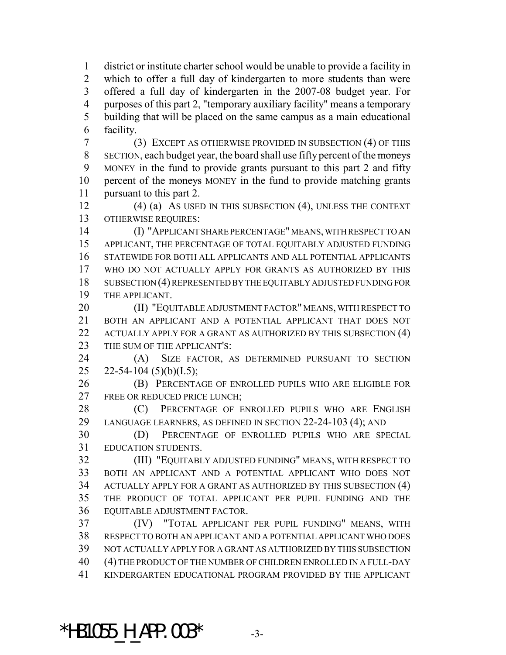district or institute charter school would be unable to provide a facility in which to offer a full day of kindergarten to more students than were offered a full day of kindergarten in the 2007-08 budget year. For purposes of this part 2, "temporary auxiliary facility" means a temporary building that will be placed on the same campus as a main educational facility.

 (3) EXCEPT AS OTHERWISE PROVIDED IN SUBSECTION (4) OF THIS SECTION, each budget year, the board shall use fifty percent of the moneys MONEY in the fund to provide grants pursuant to this part 2 and fifty 10 percent of the moneys MONEY in the fund to provide matching grants pursuant to this part 2.

 (4) (a) AS USED IN THIS SUBSECTION (4), UNLESS THE CONTEXT OTHERWISE REQUIRES:

 (I) "APPLICANT SHARE PERCENTAGE" MEANS, WITH RESPECT TO AN APPLICANT, THE PERCENTAGE OF TOTAL EQUITABLY ADJUSTED FUNDING STATEWIDE FOR BOTH ALL APPLICANTS AND ALL POTENTIAL APPLICANTS WHO DO NOT ACTUALLY APPLY FOR GRANTS AS AUTHORIZED BY THIS SUBSECTION (4) REPRESENTED BY THE EQUITABLY ADJUSTED FUNDING FOR THE APPLICANT.

**(II) "EQUITABLE ADJUSTMENT FACTOR" MEANS, WITH RESPECT TO**  BOTH AN APPLICANT AND A POTENTIAL APPLICANT THAT DOES NOT 22 ACTUALLY APPLY FOR A GRANT AS AUTHORIZED BY THIS SUBSECTION (4) 23 THE SUM OF THE APPLICANT'S:

 (A) SIZE FACTOR, AS DETERMINED PURSUANT TO SECTION 25 22-54-104 (5)(b)(I.5);

 (B) PERCENTAGE OF ENROLLED PUPILS WHO ARE ELIGIBLE FOR 27 FREE OR REDUCED PRICE LUNCH:

28 (C) PERCENTAGE OF ENROLLED PUPILS WHO ARE ENGLISH LANGUAGE LEARNERS, AS DEFINED IN SECTION 22-24-103 (4); AND

 (D) PERCENTAGE OF ENROLLED PUPILS WHO ARE SPECIAL EDUCATION STUDENTS.

 (III) "EQUITABLY ADJUSTED FUNDING" MEANS, WITH RESPECT TO BOTH AN APPLICANT AND A POTENTIAL APPLICANT WHO DOES NOT ACTUALLY APPLY FOR A GRANT AS AUTHORIZED BY THIS SUBSECTION (4) THE PRODUCT OF TOTAL APPLICANT PER PUPIL FUNDING AND THE EQUITABLE ADJUSTMENT FACTOR.

 (IV) "TOTAL APPLICANT PER PUPIL FUNDING" MEANS, WITH RESPECT TO BOTH AN APPLICANT AND A POTENTIAL APPLICANT WHO DOES NOT ACTUALLY APPLY FOR A GRANT AS AUTHORIZED BY THIS SUBSECTION (4) THE PRODUCT OF THE NUMBER OF CHILDREN ENROLLED IN A FULL-DAY KINDERGARTEN EDUCATIONAL PROGRAM PROVIDED BY THE APPLICANT

\*HB1055 H APP.003\*  $-3$ -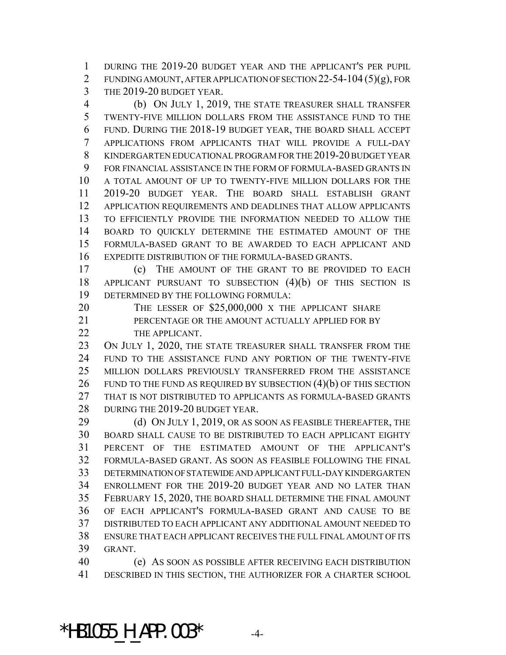DURING THE 2019-20 BUDGET YEAR AND THE APPLICANT'S PER PUPIL FUNDING AMOUNT, AFTER APPLICATION OF SECTION 22-54-104 (5)(g), FOR THE 2019-20 BUDGET YEAR.

 (b) ON JULY 1, 2019, THE STATE TREASURER SHALL TRANSFER TWENTY-FIVE MILLION DOLLARS FROM THE ASSISTANCE FUND TO THE FUND. DURING THE 2018-19 BUDGET YEAR, THE BOARD SHALL ACCEPT APPLICATIONS FROM APPLICANTS THAT WILL PROVIDE A FULL-DAY KINDERGARTEN EDUCATIONAL PROGRAM FOR THE 2019-20 BUDGET YEAR FOR FINANCIAL ASSISTANCE IN THE FORM OF FORMULA-BASED GRANTS IN A TOTAL AMOUNT OF UP TO TWENTY-FIVE MILLION DOLLARS FOR THE 2019-20 BUDGET YEAR. THE BOARD SHALL ESTABLISH GRANT APPLICATION REQUIREMENTS AND DEADLINES THAT ALLOW APPLICANTS TO EFFICIENTLY PROVIDE THE INFORMATION NEEDED TO ALLOW THE BOARD TO QUICKLY DETERMINE THE ESTIMATED AMOUNT OF THE FORMULA-BASED GRANT TO BE AWARDED TO EACH APPLICANT AND EXPEDITE DISTRIBUTION OF THE FORMULA-BASED GRANTS.

 (c) THE AMOUNT OF THE GRANT TO BE PROVIDED TO EACH APPLICANT PURSUANT TO SUBSECTION (4)(b) OF THIS SECTION IS DETERMINED BY THE FOLLOWING FORMULA:

20 THE LESSER OF \$25,000,000 X THE APPLICANT SHARE 21 PERCENTAGE OR THE AMOUNT ACTUALLY APPLIED FOR BY

22 THE APPLICANT.

23 ON JULY 1, 2020, THE STATE TREASURER SHALL TRANSFER FROM THE FUND TO THE ASSISTANCE FUND ANY PORTION OF THE TWENTY-FIVE MILLION DOLLARS PREVIOUSLY TRANSFERRED FROM THE ASSISTANCE 26 FUND TO THE FUND AS REQUIRED BY SUBSECTION  $(4)(b)$  OF THIS SECTION THAT IS NOT DISTRIBUTED TO APPLICANTS AS FORMULA-BASED GRANTS 28 DURING THE 2019-20 BUDGET YEAR.

29 (d) ON JULY 1, 2019, OR AS SOON AS FEASIBLE THEREAFTER, THE BOARD SHALL CAUSE TO BE DISTRIBUTED TO EACH APPLICANT EIGHTY PERCENT OF THE ESTIMATED AMOUNT OF THE APPLICANT'S FORMULA-BASED GRANT. AS SOON AS FEASIBLE FOLLOWING THE FINAL DETERMINATION OF STATEWIDE AND APPLICANT FULL-DAY KINDERGARTEN ENROLLMENT FOR THE 2019-20 BUDGET YEAR AND NO LATER THAN FEBRUARY 15, 2020, THE BOARD SHALL DETERMINE THE FINAL AMOUNT OF EACH APPLICANT'S FORMULA-BASED GRANT AND CAUSE TO BE DISTRIBUTED TO EACH APPLICANT ANY ADDITIONAL AMOUNT NEEDED TO ENSURE THAT EACH APPLICANT RECEIVES THE FULL FINAL AMOUNT OF ITS GRANT.

 (e) AS SOON AS POSSIBLE AFTER RECEIVING EACH DISTRIBUTION DESCRIBED IN THIS SECTION, THE AUTHORIZER FOR A CHARTER SCHOOL

\*HB1055 H APP.003\*  $-4$ -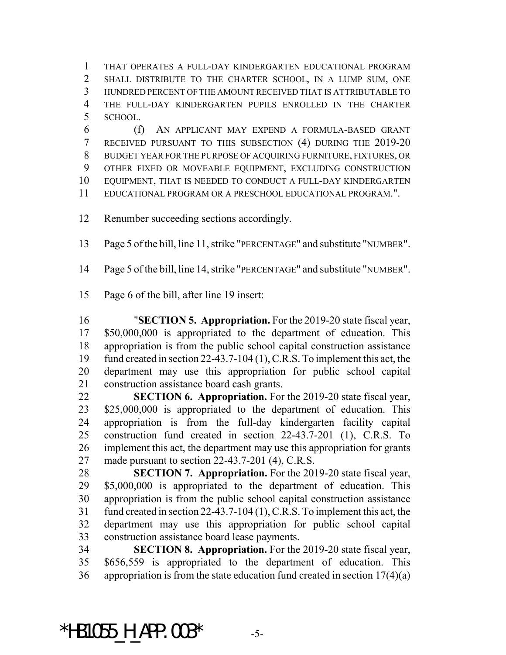THAT OPERATES A FULL-DAY KINDERGARTEN EDUCATIONAL PROGRAM SHALL DISTRIBUTE TO THE CHARTER SCHOOL, IN A LUMP SUM, ONE HUNDRED PERCENT OF THE AMOUNT RECEIVED THAT IS ATTRIBUTABLE TO THE FULL-DAY KINDERGARTEN PUPILS ENROLLED IN THE CHARTER SCHOOL.

 (f) AN APPLICANT MAY EXPEND A FORMULA-BASED GRANT RECEIVED PURSUANT TO THIS SUBSECTION (4) DURING THE 2019-20 BUDGET YEAR FOR THE PURPOSE OF ACQUIRING FURNITURE, FIXTURES, OR OTHER FIXED OR MOVEABLE EQUIPMENT, EXCLUDING CONSTRUCTION EQUIPMENT, THAT IS NEEDED TO CONDUCT A FULL-DAY KINDERGARTEN EDUCATIONAL PROGRAM OR A PRESCHOOL EDUCATIONAL PROGRAM.".

Renumber succeeding sections accordingly.

Page 5 of the bill, line 11, strike "PERCENTAGE" and substitute "NUMBER".

Page 5 of the bill, line 14, strike "PERCENTAGE" and substitute "NUMBER".

Page 6 of the bill, after line 19 insert:

 "**SECTION 5. Appropriation.** For the 2019-20 state fiscal year, \$50,000,000 is appropriated to the department of education. This appropriation is from the public school capital construction assistance fund created in section 22-43.7-104 (1), C.R.S. To implement this act, the department may use this appropriation for public school capital construction assistance board cash grants.

 **SECTION 6. Appropriation.** For the 2019-20 state fiscal year, 23 \$25,000,000 is appropriated to the department of education. This appropriation is from the full-day kindergarten facility capital construction fund created in section 22-43.7-201 (1), C.R.S. To implement this act, the department may use this appropriation for grants made pursuant to section 22-43.7-201 (4), C.R.S.

 **SECTION 7. Appropriation.** For the 2019-20 state fiscal year, \$5,000,000 is appropriated to the department of education. This appropriation is from the public school capital construction assistance fund created in section 22-43.7-104 (1), C.R.S. To implement this act, the department may use this appropriation for public school capital construction assistance board lease payments.

 **SECTION 8. Appropriation.** For the 2019-20 state fiscal year, \$656,559 is appropriated to the department of education. This appropriation is from the state education fund created in section 17(4)(a)

\*HB1055 H APP.003\*  $-5$ -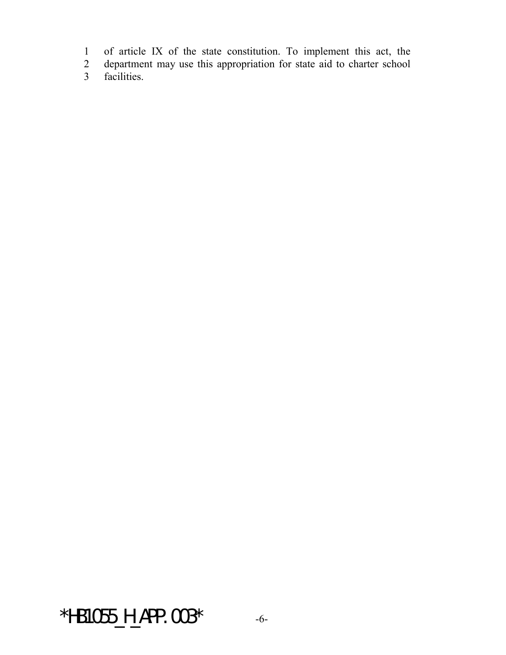1 of article IX of the state constitution. To implement this act, the

2 department may use this appropriation for state aid to charter school<br>3 facilities.

facilities.

\*HB1055\_H\_APP.003\* -6-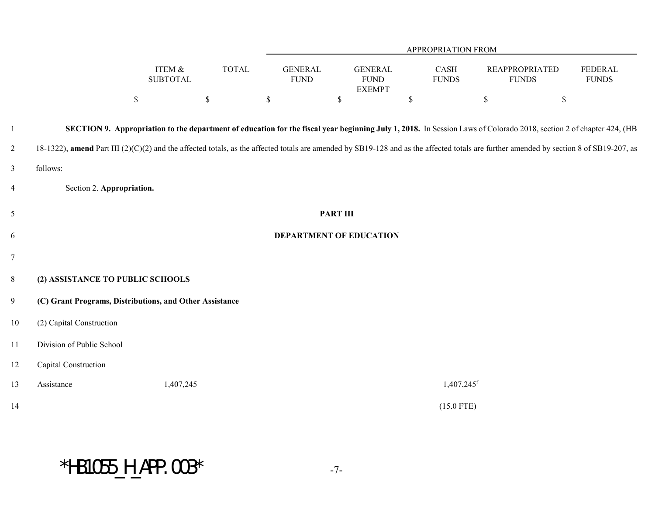|                |                                                                                                                                                                                        |                           |              | APPROPRIATION FROM            |                 |                                                |                          |             |                                       |                                                                                                                                                                     |  |
|----------------|----------------------------------------------------------------------------------------------------------------------------------------------------------------------------------------|---------------------------|--------------|-------------------------------|-----------------|------------------------------------------------|--------------------------|-------------|---------------------------------------|---------------------------------------------------------------------------------------------------------------------------------------------------------------------|--|
|                |                                                                                                                                                                                        | ITEM &<br><b>SUBTOTAL</b> | <b>TOTAL</b> | <b>GENERAL</b><br><b>FUND</b> |                 | <b>GENERAL</b><br><b>FUND</b><br><b>EXEMPT</b> | CASH<br><b>FUNDS</b>     |             | <b>REAPPROPRIATED</b><br><b>FUNDS</b> | FEDERAL<br><b>FUNDS</b>                                                                                                                                             |  |
|                |                                                                                                                                                                                        | $\mathbb S$               | $\mathbb S$  | $\$$                          | $\mathcal{S}$   |                                                | $\mathbb S$              | $\mathbb S$ | $\mathbb S$                           |                                                                                                                                                                     |  |
| 1              |                                                                                                                                                                                        |                           |              |                               |                 |                                                |                          |             |                                       | SECTION 9. Appropriation to the department of education for the fiscal year beginning July 1, 2018. In Session Laws of Colorado 2018, section 2 of chapter 424, (HB |  |
| $\overline{2}$ | 18-1322), amend Part III (2)(C)(2) and the affected totals, as the affected totals are amended by SB19-128 and as the affected totals are further amended by section 8 of SB19-207, as |                           |              |                               |                 |                                                |                          |             |                                       |                                                                                                                                                                     |  |
| 3              | follows:                                                                                                                                                                               |                           |              |                               |                 |                                                |                          |             |                                       |                                                                                                                                                                     |  |
| $\overline{4}$ | Section 2. Appropriation.                                                                                                                                                              |                           |              |                               |                 |                                                |                          |             |                                       |                                                                                                                                                                     |  |
| 5              |                                                                                                                                                                                        |                           |              |                               | <b>PART III</b> |                                                |                          |             |                                       |                                                                                                                                                                     |  |
| 6              | DEPARTMENT OF EDUCATION                                                                                                                                                                |                           |              |                               |                 |                                                |                          |             |                                       |                                                                                                                                                                     |  |
| $\tau$         |                                                                                                                                                                                        |                           |              |                               |                 |                                                |                          |             |                                       |                                                                                                                                                                     |  |
| $8\,$          | (2) ASSISTANCE TO PUBLIC SCHOOLS                                                                                                                                                       |                           |              |                               |                 |                                                |                          |             |                                       |                                                                                                                                                                     |  |
| 9              | (C) Grant Programs, Distributions, and Other Assistance                                                                                                                                |                           |              |                               |                 |                                                |                          |             |                                       |                                                                                                                                                                     |  |
| 10             | (2) Capital Construction                                                                                                                                                               |                           |              |                               |                 |                                                |                          |             |                                       |                                                                                                                                                                     |  |
| 11             | Division of Public School                                                                                                                                                              |                           |              |                               |                 |                                                |                          |             |                                       |                                                                                                                                                                     |  |
| 12             | Capital Construction                                                                                                                                                                   |                           |              |                               |                 |                                                |                          |             |                                       |                                                                                                                                                                     |  |
| 13             | Assistance                                                                                                                                                                             | 1,407,245                 |              |                               |                 |                                                | $1,407,245$ <sup>f</sup> |             |                                       |                                                                                                                                                                     |  |
| 14             |                                                                                                                                                                                        |                           |              |                               |                 |                                                | $(15.0$ FTE)             |             |                                       |                                                                                                                                                                     |  |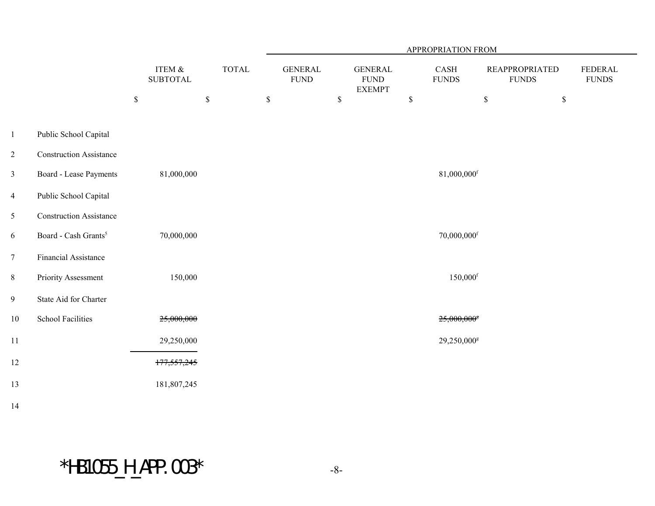|                 |                                  |                           |              | APPROPRIATION FROM             |             |                                                 |             |                           |                                        |             |                                |
|-----------------|----------------------------------|---------------------------|--------------|--------------------------------|-------------|-------------------------------------------------|-------------|---------------------------|----------------------------------------|-------------|--------------------------------|
|                 |                                  | ITEM &<br><b>SUBTOTAL</b> | <b>TOTAL</b> | <b>GENERAL</b><br>${\rm FUND}$ |             | <b>GENERAL</b><br>${\rm FUND}$<br><b>EXEMPT</b> |             | CASH<br>${\rm FUNDS}$     | <b>REAPPROPRIATED</b><br>${\rm FUNDS}$ |             | <b>FEDERAL</b><br><b>FUNDS</b> |
|                 |                                  | \$<br>$\mathbb S$         |              | $\mathbb S$                    | $\mathbb S$ |                                                 | $\mathbb S$ |                           | $\mathbb S$                            | $\mathbb S$ |                                |
| $\mathbf{1}$    | Public School Capital            |                           |              |                                |             |                                                 |             |                           |                                        |             |                                |
| $\overline{2}$  | <b>Construction Assistance</b>   |                           |              |                                |             |                                                 |             |                           |                                        |             |                                |
| $\mathfrak{Z}$  | Board - Lease Payments           | 81,000,000                |              |                                |             |                                                 |             | 81,000,000f               |                                        |             |                                |
| $\overline{4}$  | Public School Capital            |                           |              |                                |             |                                                 |             |                           |                                        |             |                                |
| $5\overline{)}$ | <b>Construction Assistance</b>   |                           |              |                                |             |                                                 |             |                           |                                        |             |                                |
| 6               | Board - Cash Grants <sup>5</sup> | 70,000,000                |              |                                |             |                                                 |             | 70,000,000f               |                                        |             |                                |
| $\tau$          | Financial Assistance             |                           |              |                                |             |                                                 |             |                           |                                        |             |                                |
| $8\,$           | <b>Priority Assessment</b>       | 150,000                   |              |                                |             |                                                 |             | $150,000$ <sup>f</sup>    |                                        |             |                                |
| $\overline{9}$  | State Aid for Charter            |                           |              |                                |             |                                                 |             |                           |                                        |             |                                |
| $10\,$          | <b>School Facilities</b>         | 25,000,000                |              |                                |             |                                                 |             | $25,000,000$ <sup>s</sup> |                                        |             |                                |
| 11              |                                  | 29,250,000                |              |                                |             |                                                 |             | 29,250,000 <sup>g</sup>   |                                        |             |                                |
| 12              |                                  | 177,557,245               |              |                                |             |                                                 |             |                           |                                        |             |                                |
| 13              |                                  | 181,807,245               |              |                                |             |                                                 |             |                           |                                        |             |                                |
| 14              |                                  |                           |              |                                |             |                                                 |             |                           |                                        |             |                                |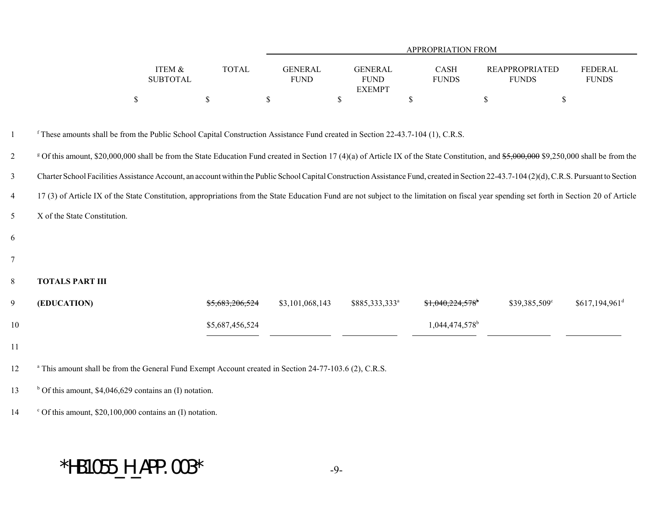|                |                                                                                                                                                                                                      |                                           |                               |                                                | APPROPRIATION FROM            |                                       |                             |
|----------------|------------------------------------------------------------------------------------------------------------------------------------------------------------------------------------------------------|-------------------------------------------|-------------------------------|------------------------------------------------|-------------------------------|---------------------------------------|-----------------------------|
|                |                                                                                                                                                                                                      | <b>TOTAL</b><br>ITEM &<br><b>SUBTOTAL</b> | <b>GENERAL</b><br><b>FUND</b> | <b>GENERAL</b><br><b>FUND</b><br><b>EXEMPT</b> | CASH<br><b>FUNDS</b>          | <b>REAPPROPRIATED</b><br><b>FUNDS</b> | FEDERAL<br><b>FUNDS</b>     |
|                | \$                                                                                                                                                                                                   | $\mathsf{\$}$                             | \$                            | $\mathsf{\$}$                                  | \$                            | \$<br>\$                              |                             |
| $\mathbf{1}$   | <sup>f</sup> These amounts shall be from the Public School Capital Construction Assistance Fund created in Section 22-43.7-104 (1), C.R.S.                                                           |                                           |                               |                                                |                               |                                       |                             |
| 2              | <sup>g</sup> Of this amount, \$20,000,000 shall be from the State Education Fund created in Section 17 (4)(a) of Article IX of the State Constitution, and \$5,000,000 \$9,250,000 shall be from the |                                           |                               |                                                |                               |                                       |                             |
| $\mathfrak{Z}$ | Charter School Facilities Assistance Account, an account within the Public School Capital Construction Assistance Fund, created in Section 22-43.7-104 (2)(d), C.R.S. Pursuant to Section            |                                           |                               |                                                |                               |                                       |                             |
| $\overline{4}$ | 17 (3) of Article IX of the State Constitution, appropriations from the State Education Fund are not subject to the limitation on fiscal year spending set forth in Section 20 of Article            |                                           |                               |                                                |                               |                                       |                             |
| 5              | X of the State Constitution.                                                                                                                                                                         |                                           |                               |                                                |                               |                                       |                             |
| 6              |                                                                                                                                                                                                      |                                           |                               |                                                |                               |                                       |                             |
| $\tau$         |                                                                                                                                                                                                      |                                           |                               |                                                |                               |                                       |                             |
| $8\,$          | <b>TOTALS PART III</b>                                                                                                                                                                               |                                           |                               |                                                |                               |                                       |                             |
| 9              | (EDUCATION)                                                                                                                                                                                          | \$5,683,206,524                           | \$3,101,068,143               | \$885,333,333 <sup>a</sup>                     | $$1,040,224,578$ <sup>b</sup> | \$39,385,509°                         | $$617,194,961$ <sup>d</sup> |
| $10\,$         |                                                                                                                                                                                                      | \$5,687,456,524                           |                               |                                                | 1,044,474,578 <sup>b</sup>    |                                       |                             |
| 11             |                                                                                                                                                                                                      |                                           |                               |                                                |                               |                                       |                             |
| 12             | <sup>a</sup> This amount shall be from the General Fund Exempt Account created in Section 24-77-103.6 (2), C.R.S.                                                                                    |                                           |                               |                                                |                               |                                       |                             |
| 13             | $b$ Of this amount, \$4,046,629 contains an (I) notation.                                                                                                                                            |                                           |                               |                                                |                               |                                       |                             |
| 14             | $\degree$ Of this amount, \$20,100,000 contains an (I) notation.                                                                                                                                     |                                           |                               |                                                |                               |                                       |                             |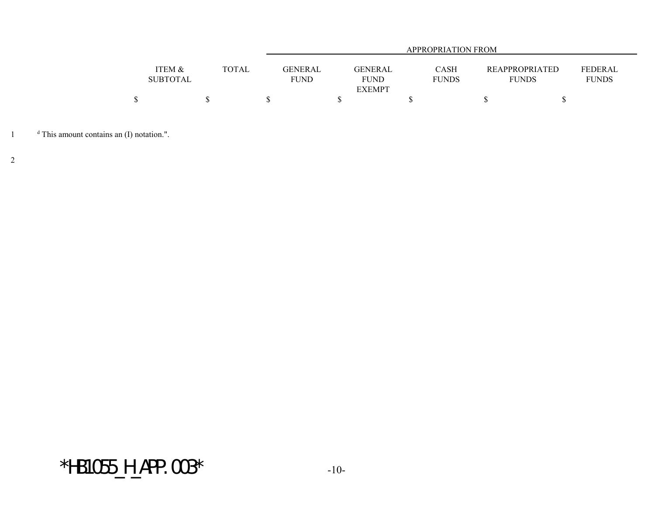|                 |              | <b>APPROPRIATION FROM</b> |               |              |                       |                |  |  |  |  |
|-----------------|--------------|---------------------------|---------------|--------------|-----------------------|----------------|--|--|--|--|
|                 |              |                           |               |              |                       |                |  |  |  |  |
| ITEM &          | <b>TOTAL</b> | GENERAL                   | GENERAL       | CASH         | <b>REAPPROPRIATED</b> | <b>FEDERAL</b> |  |  |  |  |
| <b>SUBTOTAL</b> |              | <b>FUND</b>               | <b>FUND</b>   | <b>FUNDS</b> | <b>FUNDS</b>          | <b>FUNDS</b>   |  |  |  |  |
|                 |              |                           | <b>EXEMPT</b> |              |                       |                |  |  |  |  |
|                 |              |                           |               |              |                       |                |  |  |  |  |

<sup>d</sup> This amount contains an (I) notation.".

2

 $*$ HB1055\_H\_APP.003 $*$  -10-